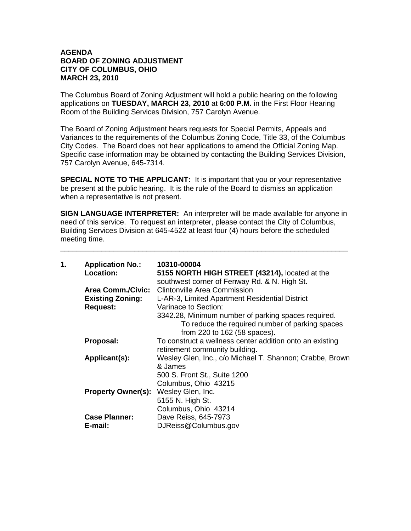## **AGENDA BOARD OF ZONING ADJUSTMENT CITY OF COLUMBUS, OHIO MARCH 23, 2010**

The Columbus Board of Zoning Adjustment will hold a public hearing on the following applications on **TUESDAY, MARCH 23, 2010** at **6:00 P.M.** in the First Floor Hearing Room of the Building Services Division, 757 Carolyn Avenue.

The Board of Zoning Adjustment hears requests for Special Permits, Appeals and Variances to the requirements of the Columbus Zoning Code, Title 33, of the Columbus City Codes. The Board does not hear applications to amend the Official Zoning Map. Specific case information may be obtained by contacting the Building Services Division, 757 Carolyn Avenue, 645-7314.

**SPECIAL NOTE TO THE APPLICANT:** It is important that you or your representative be present at the public hearing. It is the rule of the Board to dismiss an application when a representative is not present.

**SIGN LANGUAGE INTERPRETER:** An interpreter will be made available for anyone in need of this service. To request an interpreter, please contact the City of Columbus, Building Services Division at 645-4522 at least four (4) hours before the scheduled meeting time.

\_\_\_\_\_\_\_\_\_\_\_\_\_\_\_\_\_\_\_\_\_\_\_\_\_\_\_\_\_\_\_\_\_\_\_\_\_\_\_\_\_\_\_\_\_\_\_\_\_\_\_\_\_\_\_\_\_\_\_\_\_\_\_\_\_\_\_\_\_\_

| 1. | <b>Application No.:</b><br>Location:        | 10310-00004<br>5155 NORTH HIGH STREET (43214), located at the<br>southwest corner of Fenway Rd. & N. High St. |
|----|---------------------------------------------|---------------------------------------------------------------------------------------------------------------|
|    |                                             | <b>Area Comm./Civic:</b> Clintonville Area Commission                                                         |
|    | <b>Existing Zoning:</b>                     | L-AR-3, Limited Apartment Residential District                                                                |
|    | <b>Request:</b>                             | Varinace to Section:                                                                                          |
|    |                                             | 3342.28, Minimum number of parking spaces required.                                                           |
|    |                                             | To reduce the required number of parking spaces                                                               |
|    |                                             | from 220 to 162 (58 spaces).                                                                                  |
|    | Proposal:                                   | To construct a wellness center addition onto an existing                                                      |
|    |                                             | retirement community building.                                                                                |
|    | Applicant(s):                               | Wesley Glen, Inc., c/o Michael T. Shannon; Crabbe, Brown                                                      |
|    |                                             | & James                                                                                                       |
|    |                                             | 500 S. Front St., Suite 1200                                                                                  |
|    |                                             | Columbus, Ohio 43215                                                                                          |
|    | <b>Property Owner(s): Wesley Glen, Inc.</b> |                                                                                                               |
|    |                                             | 5155 N. High St.                                                                                              |
|    |                                             | Columbus, Ohio 43214                                                                                          |
|    | <b>Case Planner:</b>                        | Dave Reiss, 645-7973                                                                                          |
|    | E-mail:                                     | DJReiss@Columbus.gov                                                                                          |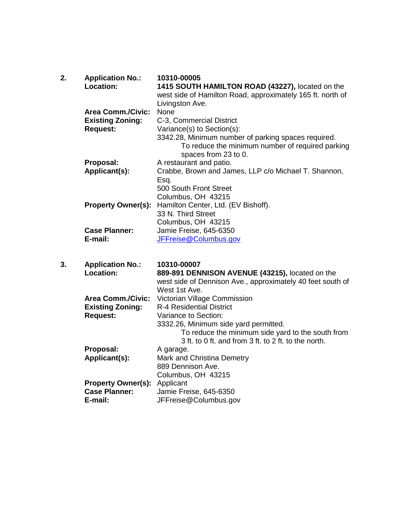| 2. | <b>Application No.:</b><br>Location:                | 10310-00005<br>1415 SOUTH HAMILTON ROAD (43227), located on the<br>west side of Hamilton Road, approximately 165 ft. north of<br>Livingston Ave. |
|----|-----------------------------------------------------|--------------------------------------------------------------------------------------------------------------------------------------------------|
|    | <b>Area Comm./Civic:</b><br><b>Existing Zoning:</b> | None<br>C-3, Commercial District                                                                                                                 |
|    | <b>Request:</b>                                     | Variance(s) to Section(s):                                                                                                                       |
|    |                                                     | 3342.28, Minimum number of parking spaces required.<br>To reduce the minimum number of required parking<br>spaces from 23 to 0.                  |
|    | Proposal:                                           | A restaurant and patio.                                                                                                                          |
|    | Applicant(s):                                       | Crabbe, Brown and James, LLP c/o Michael T. Shannon,                                                                                             |
|    |                                                     | Esq.                                                                                                                                             |
|    |                                                     | 500 South Front Street<br>Columbus, OH 43215                                                                                                     |
|    | <b>Property Owner(s):</b>                           | Hamilton Center, Ltd. (EV Bishoff).                                                                                                              |
|    |                                                     | 33 N. Third Street                                                                                                                               |
|    |                                                     | Columbus, OH 43215                                                                                                                               |
|    | <b>Case Planner:</b>                                | Jamie Freise, 645-6350                                                                                                                           |
|    | E-mail:                                             | JFFreise@Columbus.gov                                                                                                                            |
| 3. | <b>Application No.:</b>                             | 10310-00007                                                                                                                                      |
|    | Location:                                           | 889-891 DENNISON AVENUE (43215), located on the                                                                                                  |
|    |                                                     | west side of Dennison Ave., approximately 40 feet south of                                                                                       |
|    |                                                     | West 1st Ave.                                                                                                                                    |
|    | <b>Area Comm./Civic:</b>                            | Victorian Village Commission                                                                                                                     |
|    | <b>Existing Zoning:</b>                             | <b>R-4 Residential District</b>                                                                                                                  |
|    | <b>Request:</b>                                     | Variance to Section:                                                                                                                             |
|    |                                                     | 3332.26, Minimum side yard permitted.<br>To reduce the minimum side yard to the south from                                                       |
|    |                                                     | 3 ft. to 0 ft. and from 3 ft. to 2 ft. to the north.                                                                                             |
|    | Proposal:                                           | A garage.                                                                                                                                        |
|    | Applicant(s):                                       | Mark and Christina Demetry                                                                                                                       |
|    |                                                     | 889 Dennison Ave.                                                                                                                                |
|    |                                                     | $C_{\Omega}$ umbuc $\Omega$ $\Box$ 12215                                                                                                         |

Columbus, OH 43215 **Property Owner(s):** Applicant **Case Planner:** Jamie Freise, 645-6350 **E-mail:** JFFreise@Columbus.gov